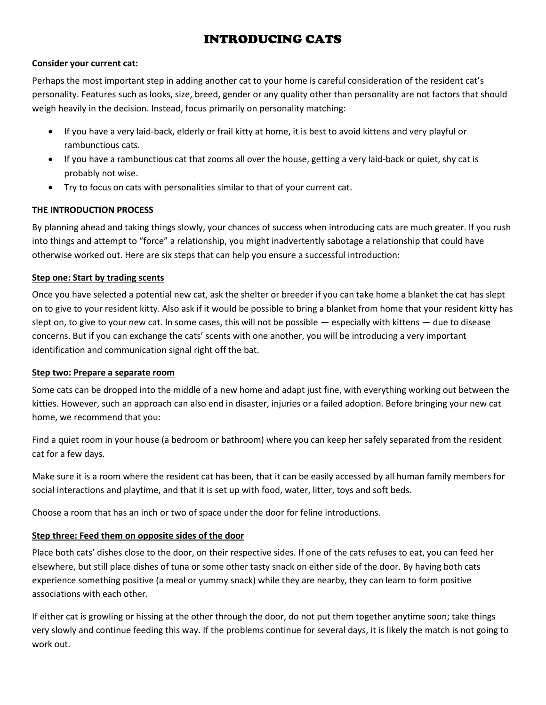# INTRODUCING CATS

#### **Consider your current cat:**

Perhaps the most important step in adding another cat to your home is careful consideration of the resident cat's personality. Features such as looks, size, breed, gender or any quality other than personality are not factors that should weigh heavily in the decision. Instead, focus primarily on personality matching:

- If you have a very laid-back, elderly or frail kitty at home, it is best to avoid kittens and very playful or rambunctious cats.
- If you have a rambunctious cat that zooms all over the house, getting a very laid-back or quiet, shy cat is probably not wise.
- Try to focus on cats with personalities similar to that of your current cat.

## **THE INTRODUCTION PROCESS**

By planning ahead and taking things slowly, your chances of success when introducing cats are much greater. If you rush into things and attempt to "force" a relationship, you might inadvertently sabotage a relationship that could have otherwise worked out. Here are six steps that can help you ensure a successful introduction:

## **Step one: Start by trading scents**

Once you have selected a potential new cat, ask the shelter or breeder if you can take home a blanket the cat has slept on to give to your resident kitty. Also ask if it would be possible to bring a blanket from home that your resident kitty has slept on, to give to your new cat. In some cases, this will not be possible — especially with kittens — due to disease concerns. But if you can exchange the cats' scents with one another, you will be introducing a very important identification and communication signal right off the bat.

## **Step two: Prepare a separate room**

Some cats can be dropped into the middle of a new home and adapt just fine, with everything working out between the kitties. However, such an approach can also end in disaster, injuries or a failed adoption. Before bringing your new cat home, we recommend that you:

Find a quiet room in your house (a bedroom or bathroom) where you can keep her safely separated from the resident cat for a few days.

Make sure it is a room where the resident cat has been, that it can be easily accessed by all human family members for social interactions and playtime, and that it is set up with food, water, litter, toys and soft beds.

Choose a room that has an inch or two of space under the door for feline introductions.

## **Step three: Feed them on opposite sides of the door**

Place both cats' dishes close to the door, on their respective sides. If one of the cats refuses to eat, you can feed her elsewhere, but still place dishes of tuna or some other tasty snack on either side of the door. By having both cats experience something positive (a meal or yummy snack) while they are nearby, they can learn to form positive associations with each other.

If either cat is growling or hissing at the other through the door, do not put them together anytime soon; take things very slowly and continue feeding this way. If the problems continue for several days, it is likely the match is not going to work out.